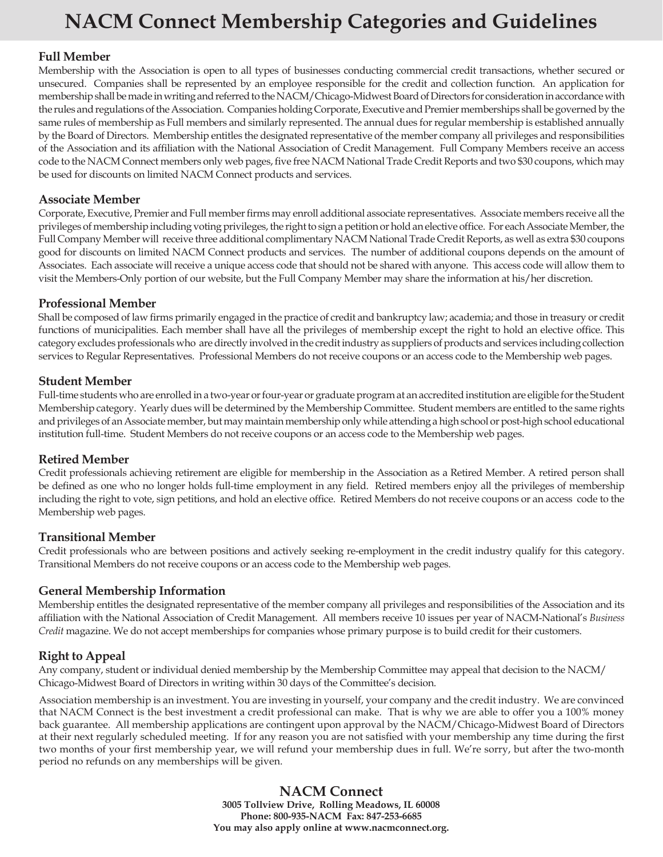## **NACM Connect Membership Categories and Guidelines**

#### **Full Member**

Membership with the Association is open to all types of businesses conducting commercial credit transactions, whether secured or unsecured. Companies shall be represented by an employee responsible for the credit and collection function. An application for membership shall be made in writing and referred to the NACM/Chicago-Midwest Board of Directors for consideration in accordance with the rules and regulations of the Association. Companies holding Corporate, Executive and Premier memberships shall be governed by the same rules of membership as Full members and similarly represented. The annual dues for regular membership is established annually by the Board of Directors. Membership entitles the designated representative of the member company all privileges and responsibilities of the Association and its affiliation with the National Association of Credit Management. Full Company Members receive an access code to the NACM Connect members only web pages, five free NACM National Trade Credit Reports and two \$30 coupons, which may be used for discounts on limited NACM Connect products and services.

#### **Associate Member**

Corporate, Executive, Premier and Full member firms may enroll additional associate representatives. Associate members receive all the privileges of membership including voting privileges, the right to sign a petition or hold an elective office. For each Associate Member, the Full Company Member will receive three additional complimentary NACM National Trade Credit Reports, as well as extra \$30 coupons good for discounts on limited NACM Connect products and services. The number of additional coupons depends on the amount of Associates. Each associate will receive a unique access code that should not be shared with anyone. This access code will allow them to visit the Members-Only portion of our website, but the Full Company Member may share the information at his/her discretion.

#### **Professional Member**

Shall be composed of law firms primarily engaged in the practice of credit and bankruptcy law; academia; and those in treasury or credit functions of municipalities. Each member shall have all the privileges of membership except the right to hold an elective office. This category excludes professionals who are directly involved in the credit industry as suppliers of products and services including collection services to Regular Representatives. Professional Members do not receive coupons or an access code to the Membership web pages.

#### **Student Member**

Full-time students who are enrolled in a two-year or four-year or graduate program at an accredited institution are eligible for the Student Membership category. Yearly dues will be determined by the Membership Committee. Student members are entitled to the same rights and privileges of an Associate member, but may maintain membership only while attending a high school or post-high school educational institution full-time. Student Members do not receive coupons or an access code to the Membership web pages.

#### **Retired Member**

Credit professionals achieving retirement are eligible for membership in the Association as a Retired Member. A retired person shall be defined as one who no longer holds full-time employment in any field. Retired members enjoy all the privileges of membership including the right to vote, sign petitions, and hold an elective office. Retired Members do not receive coupons or an access code to the Membership web pages.

#### **Transitional Member**

Credit professionals who are between positions and actively seeking re-employment in the credit industry qualify for this category. Transitional Members do not receive coupons or an access code to the Membership web pages.

#### **General Membership Information**

Membership entitles the designated representative of the member company all privileges and responsibilities of the Association and its affiliation with the National Association of Credit Management. All members receive 10 issues per year of NACM-National's *Business Credit* magazine. We do not accept memberships for companies whose primary purpose is to build credit for their customers.

### **Right to Appeal**

Any company, student or individual denied membership by the Membership Committee may appeal that decision to the NACM/ Chicago-Midwest Board of Directors in writing within 30 days of the Committee's decision.

Association membership is an investment. You are investing in yourself, your company and the credit industry. We are convinced that NACM Connect is the best investment a credit professional can make. That is why we are able to offer you a 100% money back guarantee. All membership applications are contingent upon approval by the NACM/Chicago-Midwest Board of Directors at their next regularly scheduled meeting. If for any reason you are not satisfied with your membership any time during the first two months of your first membership year, we will refund your membership dues in full. We're sorry, but after the two-month period no refunds on any memberships will be given.

> **NACM Connect 3005 Tollview Drive, Rolling Meadows, IL 60008 Phone: 800-935-NACM Fax: 847-253-6685 You may also apply online at www.nacmconnect.org.**